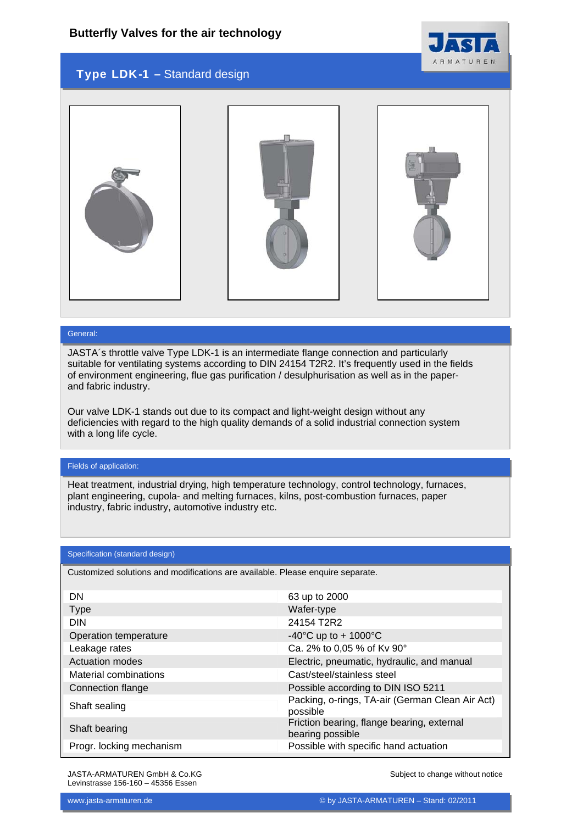

## Type LDK-1 – Standard design



#### General:

JASTA´s throttle valve Type LDK-1 is an intermediate flange connection and particularly suitable for ventilating systems according to DIN 24154 T2R2. It's frequently used in the fields of environment engineering, flue gas purification / desulphurisation as well as in the paperand fabric industry.

Our valve LDK-1 stands out due to its compact and light-weight design without any deficiencies with regard to the high quality demands of a solid industrial connection system with a long life cycle.

#### Fields of application:

Heat treatment, industrial drying, high temperature technology, control technology, furnaces, plant engineering, cupola- and melting furnaces, kilns, post-combustion furnaces, paper industry, fabric industry, automotive industry etc.

#### Specification (standard design)

Customized solutions and modifications are available. Please enquire separate.

| DN                       | 63 up to 2000                                                  |
|--------------------------|----------------------------------------------------------------|
| <b>Type</b>              | Wafer-type                                                     |
| <b>DIN</b>               | 24154 T2R2                                                     |
| Operation temperature    | -40°C up to + 1000°C                                           |
| Leakage rates            | Ca. 2% to 0,05 % of Kv 90°                                     |
| Actuation modes          | Electric, pneumatic, hydraulic, and manual                     |
| Material combinations    | Cast/steel/stainless steel                                     |
| Connection flange        | Possible according to DIN ISO 5211                             |
| Shaft sealing            | Packing, o-rings, TA-air (German Clean Air Act)<br>possible    |
| Shaft bearing            | Friction bearing, flange bearing, external<br>bearing possible |
| Progr. locking mechanism | Possible with specific hand actuation                          |

JASTA-ARMATUREN GmbH & Co.KG Levinstrasse 156-160 – 45356 Essen

Subject to change without notice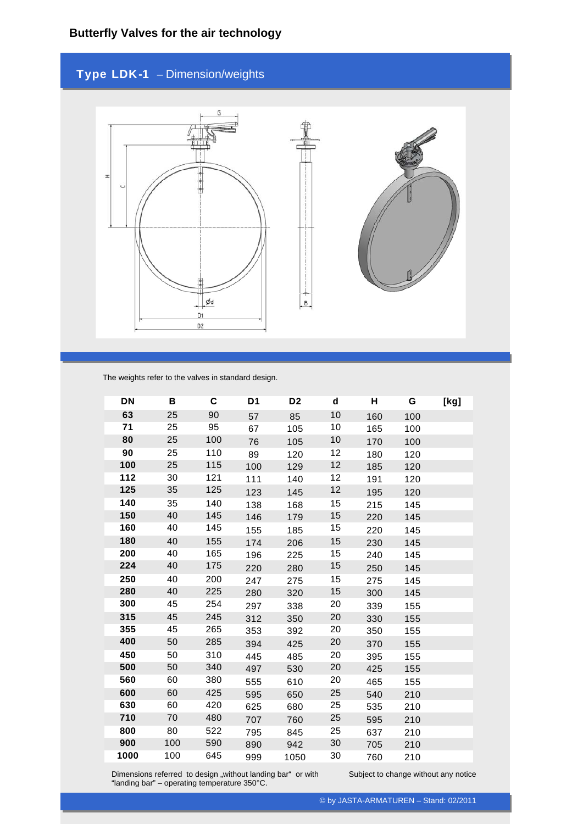# Type LDK-1 – Dimension/weights



The weights refer to the valves in standard design.

| DN   | В   | C   | D <sub>1</sub> | D <sub>2</sub> | d  | н   | G   |  |
|------|-----|-----|----------------|----------------|----|-----|-----|--|
| 63   | 25  | 90  | 57             | 85             | 10 | 160 | 100 |  |
| 71   | 25  | 95  | 67             | 105            | 10 | 165 | 100 |  |
| 80   | 25  | 100 | 76             | 105            | 10 | 170 | 100 |  |
| 90   | 25  | 110 | 89             | 120            | 12 | 180 | 120 |  |
| 100  | 25  | 115 | 100            | 129            | 12 | 185 | 120 |  |
| 112  | 30  | 121 | 111            | 140            | 12 | 191 | 120 |  |
| 125  | 35  | 125 | 123            | 145            | 12 | 195 | 120 |  |
| 140  | 35  | 140 | 138            | 168            | 15 | 215 | 145 |  |
| 150  | 40  | 145 | 146            | 179            | 15 | 220 | 145 |  |
| 160  | 40  | 145 | 155            | 185            | 15 | 220 | 145 |  |
| 180  | 40  | 155 | 174            | 206            | 15 | 230 | 145 |  |
| 200  | 40  | 165 | 196            | 225            | 15 | 240 | 145 |  |
| 224  | 40  | 175 | 220            | 280            | 15 | 250 | 145 |  |
| 250  | 40  | 200 | 247            | 275            | 15 | 275 | 145 |  |
| 280  | 40  | 225 | 280            | 320            | 15 | 300 | 145 |  |
| 300  | 45  | 254 | 297            | 338            | 20 | 339 | 155 |  |
| 315  | 45  | 245 | 312            | 350            | 20 | 330 | 155 |  |
| 355  | 45  | 265 | 353            | 392            | 20 | 350 | 155 |  |
| 400  | 50  | 285 | 394            | 425            | 20 | 370 | 155 |  |
| 450  | 50  | 310 | 445            | 485            | 20 | 395 | 155 |  |
| 500  | 50  | 340 | 497            | 530            | 20 | 425 | 155 |  |
| 560  | 60  | 380 | 555            | 610            | 20 | 465 | 155 |  |
| 600  | 60  | 425 | 595            | 650            | 25 | 540 | 210 |  |
| 630  | 60  | 420 | 625            | 680            | 25 | 535 | 210 |  |
| 710  | 70  | 480 | 707            | 760            | 25 | 595 | 210 |  |
| 800  | 80  | 522 | 795            | 845            | 25 | 637 | 210 |  |
| 900  | 100 | 590 | 890            | 942            | 30 | 705 | 210 |  |
| 1000 | 100 | 645 | 999            | 1050           | 30 | 760 | 210 |  |

Dimensions referred to design "without landing bar" or with "landing bar" – operating temperature 350°C.

Subject to change without any notice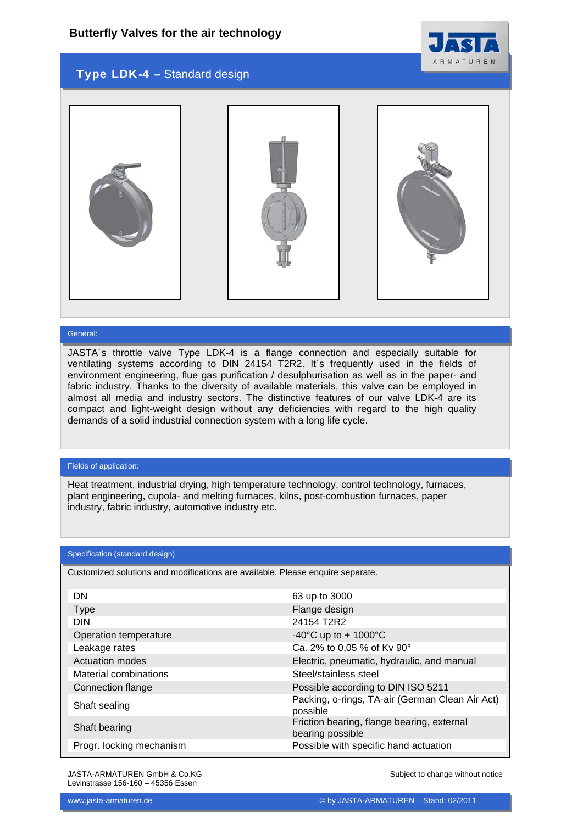

## Type LDK-4 – Standard design



#### General:

JASTA´s throttle valve Type LDK-4 is a flange connection and especially suitable for ventilating systems according to DIN 24154 T2R2. It´s frequently used in the fields of environment engineering, flue gas purification / desulphurisation as well as in the paper- and fabric industry. Thanks to the diversity of available materials, this valve can be employed in almost all media and industry sectors. The distinctive features of our valve LDK-4 are its compact and light-weight design without any deficiencies with regard to the high quality demands of a solid industrial connection system with a long life cycle.

#### Fields of application:

Heat treatment, industrial drying, high temperature technology, control technology, furnaces, plant engineering, cupola- and melting furnaces, kilns, post-combustion furnaces, paper industry, fabric industry, automotive industry etc.

#### Specification (standard design)

Customized solutions and modifications are available. Please enquire separate.

| DN                       | 63 up to 3000                                                  |
|--------------------------|----------------------------------------------------------------|
| Type                     | Flange design                                                  |
| <b>DIN</b>               | 24154 T2R2                                                     |
| Operation temperature    | -40°C up to + 1000°C                                           |
| Leakage rates            | Ca. 2% to 0,05 % of Kv 90°                                     |
| Actuation modes          | Electric, pneumatic, hydraulic, and manual                     |
| Material combinations    | Steel/stainless steel                                          |
| Connection flange        | Possible according to DIN ISO 5211                             |
| Shaft sealing            | Packing, o-rings, TA-air (German Clean Air Act)<br>possible    |
| Shaft bearing            | Friction bearing, flange bearing, external<br>bearing possible |
| Progr. locking mechanism | Possible with specific hand actuation                          |

JASTA-ARMATUREN GmbH & Co.KG Levinstrasse 156-160 – 45356 Essen

Subject to change without notice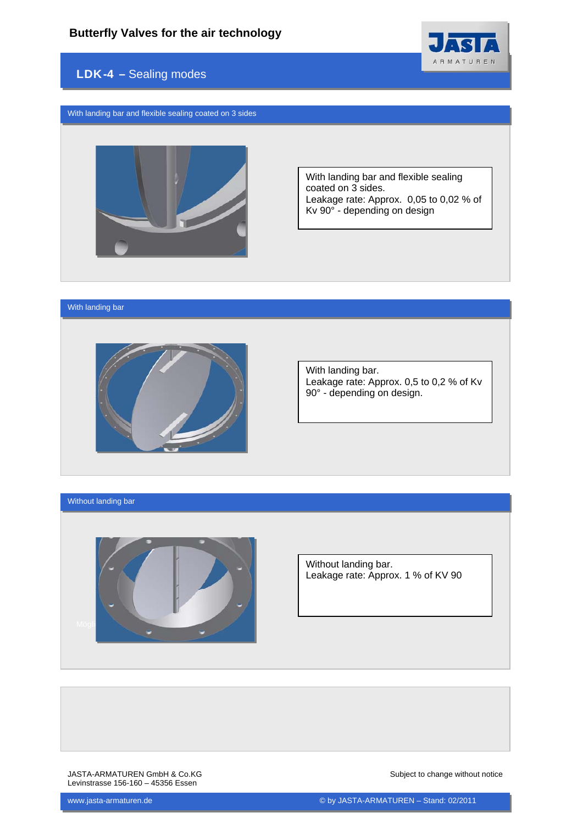

## LDK-4 – Sealing modes

With landing bar and flexible sealing coated on 3 sides



With landing bar and flexible sealing coated on 3 sides. Leakage rate: Approx. 0,05 to 0,02 % of Kv 90° - depending on design

#### With landing bar



With landing bar. Leakage rate: Approx. 0,5 to 0,2 % of Kv 90° - depending on design.

#### Without landing bar



Without landing bar. Leakage rate: Approx. 1 % of KV 90

JASTA-ARMATUREN GmbH & Co.KG Levinstrasse 156-160 – 45356 Essen

Subject to change without notice